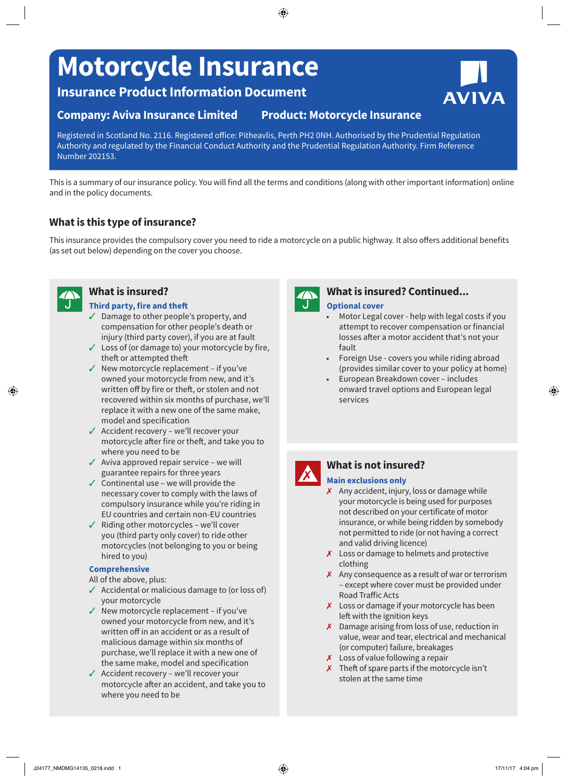# **Motorcycle Insurance**

**Insurance Product Information Document**

## **Company: Aviva Insurance Limited Product: Motorcycle Insurance**

Registered in Scotland No. 2116. Registered office: Pitheavlis, Perth PH2 0NH. Authorised by the Prudential Regulation Authority and regulated by the Financial Conduct Authority and the Prudential Regulation Authority. Firm Reference Number 202153.

This is a summary of our insurance policy. You will find all the terms and conditions (along with other important information) online and in the policy documents.

# **What is this type of insurance?**

This insurance provides the compulsory cover you need to ride a motorcycle on a public highway. It also offers additional benefits (as set out below) depending on the cover you choose.



#### **Third party, fire and theft**

- $\checkmark$  Damage to other people's property, and compensation for other people's death or injury (third party cover), if you are at fault
- $\checkmark$  Loss of (or damage to) your motorcycle by fire, theft or attempted theft
- $\checkmark$  New motorcycle replacement if you've owned your motorcycle from new, and it's written off by fire or theft, or stolen and not recovered within six months of purchase, we'll replace it with a new one of the same make, model and specification
- $\checkmark$  Accident recovery we'll recover your motorcycle after fire or theft, and take you to where you need to be
- $\checkmark$  Aviva approved repair service we will guarantee repairs for three years
- $\checkmark$  Continental use we will provide the necessary cover to comply with the laws of compulsory insurance while you're riding in EU countries and certain non-EU countries
- $\checkmark$  Riding other motorcycles we'll cover you (third party only cover) to ride other motorcycles (not belonging to you or being hired to you)

#### **Comprehensive**

All of the above, plus:

- $\checkmark$  Accidental or malicious damage to (or loss of) your motorcycle
- $\checkmark$  New motorcycle replacement if you've owned your motorcycle from new, and it's written off in an accident or as a result of malicious damage within six months of purchase, we'll replace it with a new one of the same make, model and specification
- $\checkmark$  Accident recovery we'll recover your motorcycle after an accident, and take you to where you need to be



#### **What is insured? What is insured? Continued... Optional cover**

- Motor Legal cover help with legal costs if you attempt to recover compensation or financial losses after a motor accident that's not your fault
- Foreign Use covers you while riding abroad (provides similar cover to your policy at home)
- European Breakdown cover includes onward travel options and European legal services



# **What is not insured?**

#### 7 **Main exclusions only**

- $\boldsymbol{\chi}$  Any accident, injury, loss or damage while your motorcycle is being used for purposes not described on your certificate of motor insurance, or while being ridden by somebody not permitted to ride (or not having a correct and valid driving licence)
- $\chi$  Loss or damage to helmets and protective clothing
- $\chi$  Any consequence as a result of war or terrorism – except where cover must be provided under Road Traffic Acts
- $\chi$  Loss or damage if your motorcycle has been left with the ignition keys
- $\chi$  Damage arising from loss of use, reduction in value, wear and tear, electrical and mechanical (or computer) failure, breakages
- $\boldsymbol{\chi}$  Loss of value following a repair
- $\boldsymbol{\chi}$  Theft of spare parts if the motorcycle isn't stolen at the same time